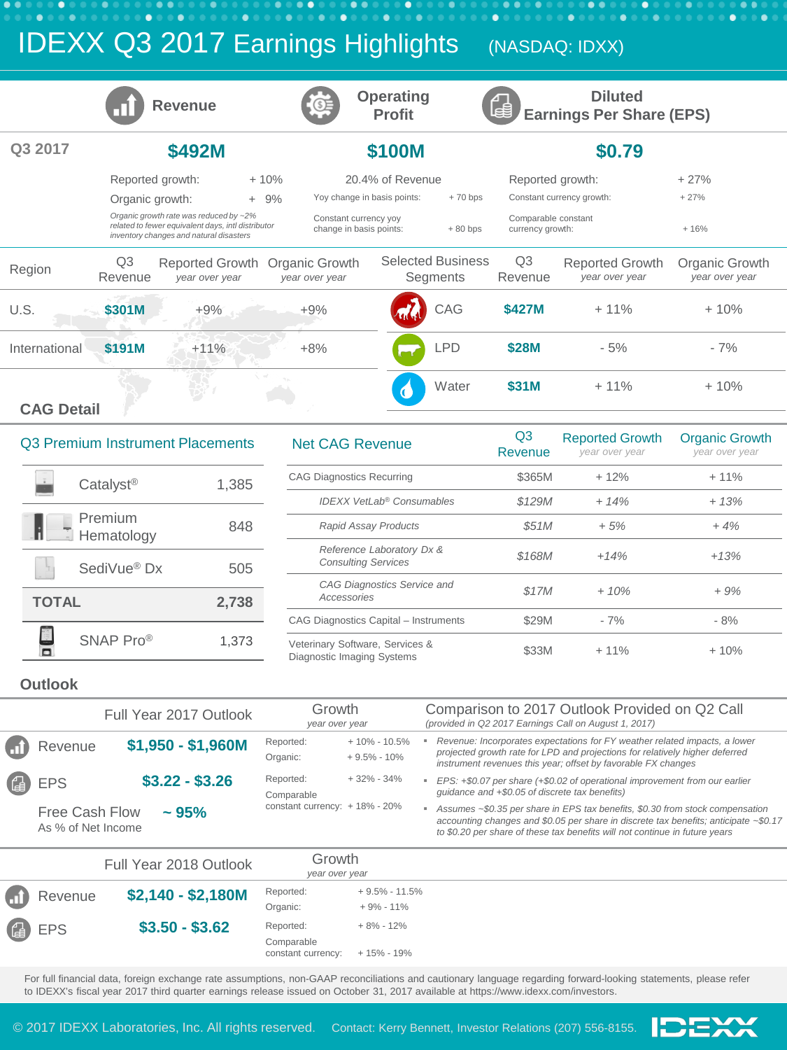IDEXX Q3 2017 Earnings Highlights (NASDAQ: IDXX)



For full financial data, foreign exchange rate assumptions, non-GAAP reconciliations and cautionary language regarding forward-looking statements, please refer to IDEXX's fiscal year 2017 third quarter earnings release issued on October 31, 2017 available at https://www.idexx.com/investors.

**IDEXX** 

constant currency: + 15% - 19%